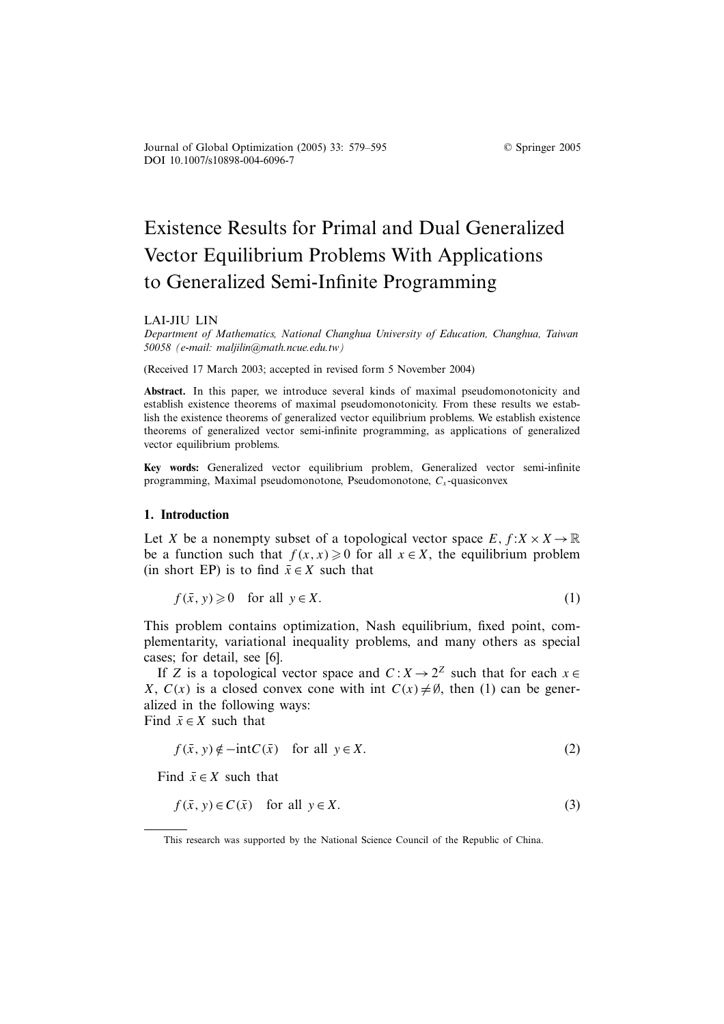DOI 10.1007/s10898-004-6096-7 Journal of Global Optimization (2005) 33: 579–595 © Springer 2005

# Existence Results for Primal and Dual Generalized Vector Equilibrium Problems With Applications to Generalized Semi-Infinite Programming

#### LAI-JIU LIN

*Department of Mathematics, National Changhua University of Education, Changhua, Taiwan 50058 (e-mail: maljilin@math.ncue.edu.tw)*

(Received 17 March 2003; accepted in revised form 5 November 2004)

Abstract. In this paper, we introduce several kinds of maximal pseudomonotonicity and establish existence theorems of maximal pseudomonotonicity. From these results we establish the existence theorems of generalized vector equilibrium problems. We establish existence theorems of generalized vector semi-infinite programming, as applications of generalized vector equilibrium problems.

**Key words:** Generalized vector equilibrium problem, Generalized vector semi-infinite programming, Maximal pseudomonotone, Pseudomonotone,  $C_x$ -quasiconvex

### **1. Introduction**

Let X be a nonempty subset of a topological vector space  $E, f: X \times X \to \mathbb{R}$ be a function such that  $f(x, x) \ge 0$  for all  $x \in X$ , the equilibrium problem (in short EP) is to find  $\bar{x} \in X$  such that

$$
f(\bar{x}, y) \geq 0 \quad \text{for all } y \in X. \tag{1}
$$

This problem contains optimization, Nash equilibrium, fixed point, complementarity, variational inequality problems, and many others as special cases; for detail, see [6].

If Z is a topological vector space and  $C: X \to 2^Z$  such that for each  $x \in$ X,  $C(x)$  is a closed convex cone with int  $C(x) \neq \emptyset$ , then (1) can be generalized in the following ways: Find  $\bar{x} \in X$  such that

$$
f(\bar{x}, y) \notin -\text{int}C(\bar{x}) \quad \text{for all } y \in X. \tag{2}
$$

Find  $\bar{x} \in X$  such that

$$
f(\bar{x}, y) \in C(\bar{x}) \quad \text{for all } y \in X. \tag{3}
$$

This research was supported by the National Science Council of the Republic of China.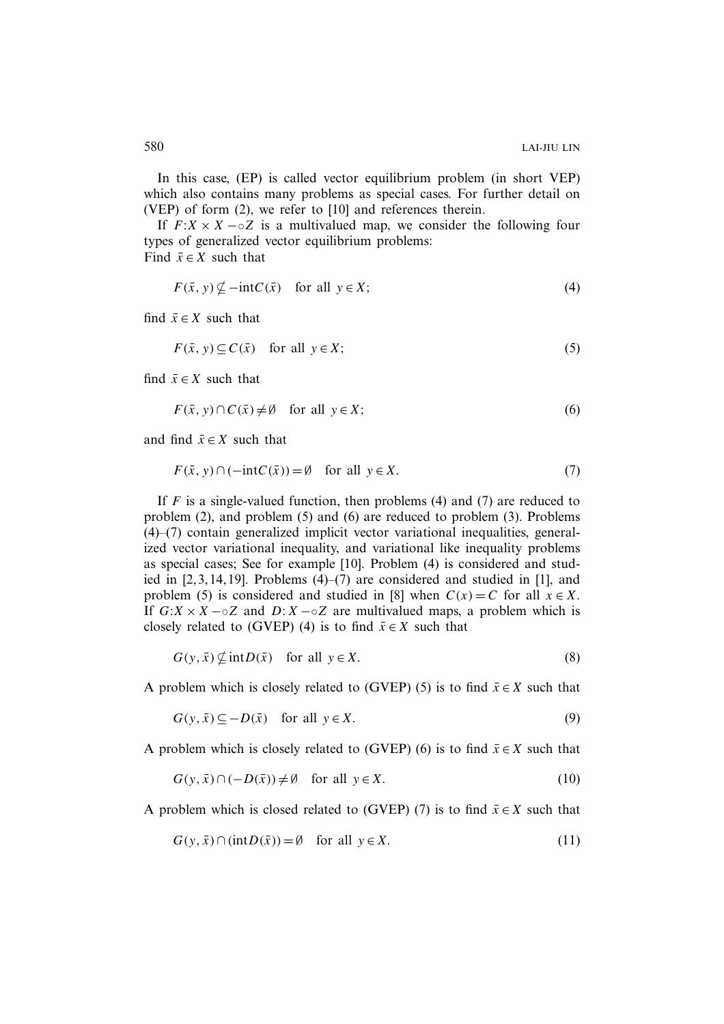In this case, (EP) is called vector equilibrium problem (in short VEP) which also contains many problems as special cases. For further detail on (VEP) of form (2), we refer to [10] and references therein.

If  $F: X \times X - \circ Z$  is a multivalued map, we consider the following four types of generalized vector equilibrium problems:

Find  $\bar{x} \in X$  such that

$$
F(\bar{x}, y) \not\subseteq -\text{int}C(\bar{x}) \quad \text{for all } y \in X; \tag{4}
$$

find  $\bar{x} \in X$  such that

$$
F(\bar{x}, y) \subseteq C(\bar{x}) \quad \text{for all } y \in X; \tag{5}
$$

find  $\bar{x} \in X$  such that

$$
F(\bar{x}, y) \cap C(\bar{x}) \neq \emptyset \quad \text{for all } y \in X; \tag{6}
$$

and find  $\bar{x} \in X$  such that

$$
F(\bar{x}, y) \cap (-\text{int}C(\bar{x})) = \emptyset \quad \text{for all } y \in X. \tag{7}
$$

If  $F$  is a single-valued function, then problems (4) and (7) are reduced to problem (2), and problem (5) and (6) are reduced to problem (3). Problems (4)–(7) contain generalized implicit vector variational inequalities, generalized vector variational inequality, and variational like inequality problems as special cases; See for example [10]. Problem (4) is considered and studied in [2, 3, 14, 19]. Problems (4)–(7) are considered and studied in [1], and problem (5) is considered and studied in [8] when  $C(x) = C$  for all  $x \in X$ . If  $G:X \times X$  –◦Z and  $D:X$  –◦Z are multivalued maps, a problem which is closely related to (GVEP) (4) is to find  $\bar{x} \in X$  such that

 $G(y, \bar{x}) \nsubseteq \text{int}D(\bar{x})$  for all  $y \in X$ . (8)

A problem which is closely related to (GVEP) (5) is to find  $\bar{x} \in X$  such that

$$
G(y, \bar{x}) \subseteq -D(\bar{x}) \quad \text{for all } y \in X. \tag{9}
$$

A problem which is closely related to (GVEP) (6) is to find  $\bar{x} \in X$  such that

$$
G(y, \bar{x}) \cap (-D(\bar{x})) \neq \emptyset \quad \text{for all } y \in X. \tag{10}
$$

A problem which is closed related to (GVEP) (7) is to find  $\bar{x} \in X$  such that

$$
G(y, \bar{x}) \cap (\text{int}D(\bar{x})) = \emptyset \quad \text{for all } y \in X. \tag{11}
$$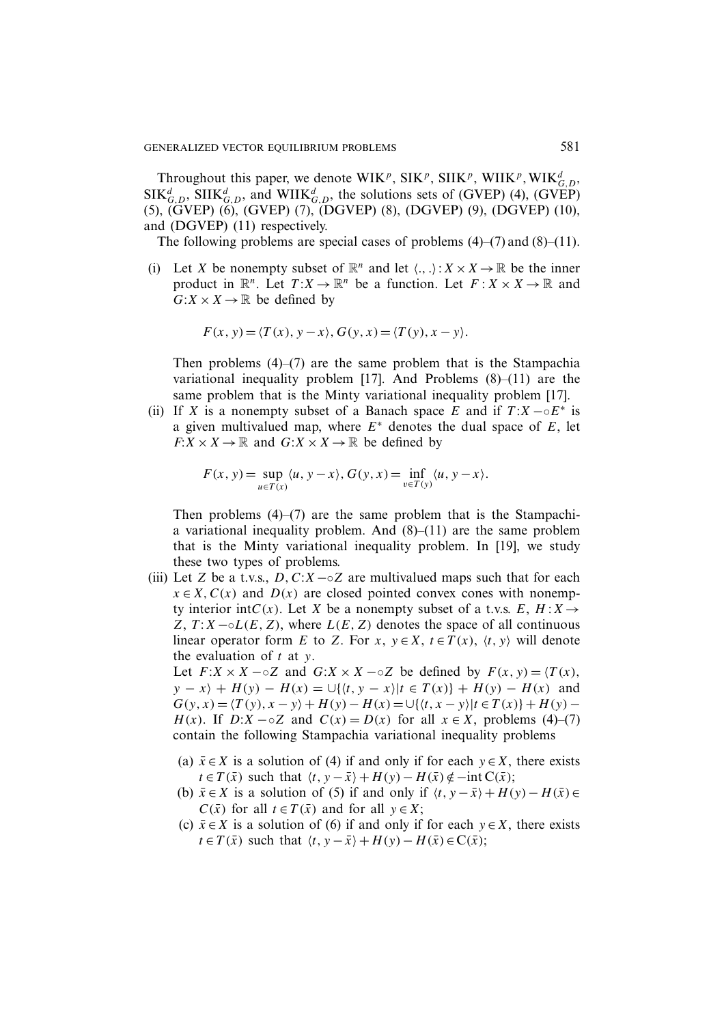Throughout this paper, we denote WIK<sup>p</sup>, SIK<sup>p</sup>, SIIK<sup>p</sup>, WIIK<sup>p</sup>, WIK<sub>G,D</sub>,  $SIK_{G,D}^d$ ,  $SIIK_{G,D}^d$ , and  $WIIK_{G,D}^d$ , the solutions sets of (GVEP) (4), (GVEP) (5), (GVEP) (6), (GVEP) (7), (DGVEP) (8), (DGVEP) (9), (DGVEP) (10), and (DGVEP) (11) respectively.

The following problems are special cases of problems  $(4)$ – $(7)$  and  $(8)$ – $(11)$ .

(i) Let X be nonempty subset of  $\mathbb{R}^n$  and let  $\langle ., . \rangle : X \times X \to \mathbb{R}$  be the inner product in  $\mathbb{R}^n$ . Let  $T: X \to \mathbb{R}^n$  be a function. Let  $F: X \times X \to \mathbb{R}$  and  $G:X\times X\to\mathbb{R}$  be defined by

$$
F(x, y) = \langle T(x), y - x \rangle, G(y, x) = \langle T(y), x - y \rangle.
$$

Then problems  $(4)$ – $(7)$  are the same problem that is the Stampachia variational inequality problem [17]. And Problems (8)–(11) are the same problem that is the Minty variational inequality problem [17].

(ii) If X is a nonempty subset of a Banach space E and if  $T: X \rightharpoonup E^*$  is a given multivalued map, where  $E^*$  denotes the dual space of E, let  $F: X \times X \to \mathbb{R}$  and  $G: X \times X \to \mathbb{R}$  be defined by

$$
F(x, y) = \sup_{u \in T(x)} \langle u, y - x \rangle, G(y, x) = \inf_{v \in T(y)} \langle u, y - x \rangle.
$$

Then problems  $(4)$ – $(7)$  are the same problem that is the Stampachia variational inequality problem. And  $(8)$ – $(11)$  are the same problem that is the Minty variational inequality problem. In [19], we study these two types of problems.

(iii) Let Z be a t.v.s.,  $D, C: X \sim Z$  are multivalued maps such that for each  $x \in X$ ,  $C(x)$  and  $D(x)$  are closed pointed convex cones with nonempty interior int $C(x)$ . Let X be a nonempty subset of a t.v.s.  $E, H: X \rightarrow$ Z,  $T: X \neg \circ L(E, Z)$ , where  $L(E, Z)$  denotes the space of all continuous linear operator form E to Z. For x,  $y \in X$ ,  $t \in T(x)$ ,  $\langle t, y \rangle$  will denote the evaluation of  $t$  at  $y$ .

Let  $F: X \times X \sim Z$  and  $G: X \times X \sim Z$  be defined by  $F(x, y) = \langle T(x), \rangle$  $y - x$  +  $H(y) - H(x) = \bigcup \{ \langle t, y - x \rangle | t \in T(x) \} + H(y) - H(x)$  and  $G(y, x) = \langle T(y), x - y \rangle + H(y) - H(x) = \bigcup \{ \langle t, x - y \rangle | t \in T(x) \} + H(y) H(x)$ . If  $D:X - \circ Z$  and  $C(x) = D(x)$  for all  $x \in X$ , problems (4)–(7) contain the following Stampachia variational inequality problems

- (a)  $\bar{x} \in X$  is a solution of (4) if and only if for each  $y \in X$ , there exists  $t \in T(\bar{x})$  such that  $\langle t, y - \bar{x} \rangle + H(y) - H(\bar{x}) \notin -\text{int } C(\bar{x});$
- (b)  $\bar{x} \in X$  is a solution of (5) if and only if  $\langle t, y \bar{x} \rangle + H(y) H(\bar{x}) \in$  $C(\bar{x})$  for all  $t \in T(\bar{x})$  and for all  $y \in X$ ;
- (c)  $\bar{x} \in X$  is a solution of (6) if and only if for each  $y \in X$ , there exists  $t \in T(\bar{x})$  such that  $\langle t, y - \bar{x} \rangle + H(y) - H(\bar{x}) \in C(\bar{x});$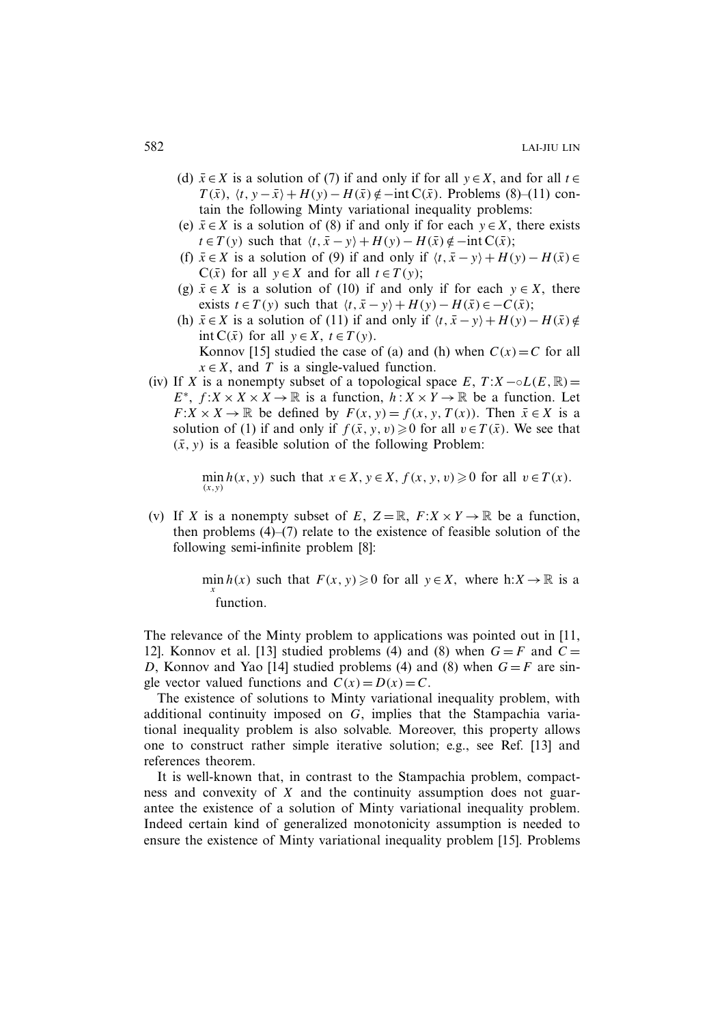- (d)  $\bar{x} \in X$  is a solution of (7) if and only if for all  $y \in X$ , and for all  $t \in$  $T(\bar{x})$ ,  $\langle t, y - \bar{x} \rangle + H(y) - H(\bar{x}) \notin -\text{int } C(\bar{x})$ . Problems (8)–(11) contain the following Minty variational inequality problems:
- (e)  $\bar{x} \in X$  is a solution of (8) if and only if for each  $y \in X$ , there exists  $t \in T(y)$  such that  $\langle t, \bar{x} - y \rangle + H(y) - H(\bar{x}) \notin -\text{int } C(\bar{x});$
- (f)  $\bar{x} \in X$  is a solution of (9) if and only if  $\langle t, \bar{x} y \rangle + H(y) H(\bar{x}) \in$  $C(\bar{x})$  for all  $y \in X$  and for all  $t \in T(y)$ ;
- (g)  $\bar{x} \in X$  is a solution of (10) if and only if for each  $y \in X$ , there exists  $t \in T(y)$  such that  $\langle t, \bar{x} - y \rangle + H(y) - H(\bar{x}) \in -C(\bar{x});$
- (h)  $\bar{x} \in X$  is a solution of (11) if and only if  $\langle t, \bar{x} y \rangle + H(y) H(\bar{x}) \notin \bar{E}$ int C( $\bar{x}$ ) for all  $y \in X$ ,  $t \in T(y)$ . Konnov [15] studied the case of (a) and (h) when  $C(x) = C$  for all  $x \in X$ , and T is a single-valued function.
- (iv) If X is a nonempty subset of a topological space  $E, T: X \sim oL(E, \mathbb{R})=$  $E^*$ ,  $f: X \times X \times X \to \mathbb{R}$  is a function,  $h: X \times Y \to \mathbb{R}$  be a function. Let  $F: X \times X \to \mathbb{R}$  be defined by  $F(x, y) = f(x, y, T(x))$ . Then  $\bar{x} \in X$  is a solution of (1) if and only if  $f(\bar{x}, y, v) \ge 0$  for all  $v \in T(\bar{x})$ . We see that  $(\bar{x}, y)$  is a feasible solution of the following Problem:

 $\min_{(x,y)} h(x, y)$  such that  $x \in X, y \in X, f(x, y, v) \ge 0$  for all  $v \in T(x)$ .

(v) If X is a nonempty subset of E,  $Z = \mathbb{R}$ ,  $F: X \times Y \to \mathbb{R}$  be a function, then problems (4)–(7) relate to the existence of feasible solution of the following semi-infinite problem [8]:

> min  $h(x)$  such that  $F(x, y) \ge 0$  for all  $y \in X$ , where h: $X \to \mathbb{R}$  is a function.

The relevance of the Minty problem to applications was pointed out in [11, 12]. Konnov et al. [13] studied problems (4) and (8) when  $G = F$  and  $C =$ D, Konnov and Yao [14] studied problems (4) and (8) when  $G = F$  are single vector valued functions and  $C(x) = D(x) = C$ .

The existence of solutions to Minty variational inequality problem, with additional continuity imposed on G, implies that the Stampachia variational inequality problem is also solvable. Moreover, this property allows one to construct rather simple iterative solution; e.g., see Ref. [13] and references theorem.

It is well-known that, in contrast to the Stampachia problem, compactness and convexity of X and the continuity assumption does not guarantee the existence of a solution of Minty variational inequality problem. Indeed certain kind of generalized monotonicity assumption is needed to ensure the existence of Minty variational inequality problem [15]. Problems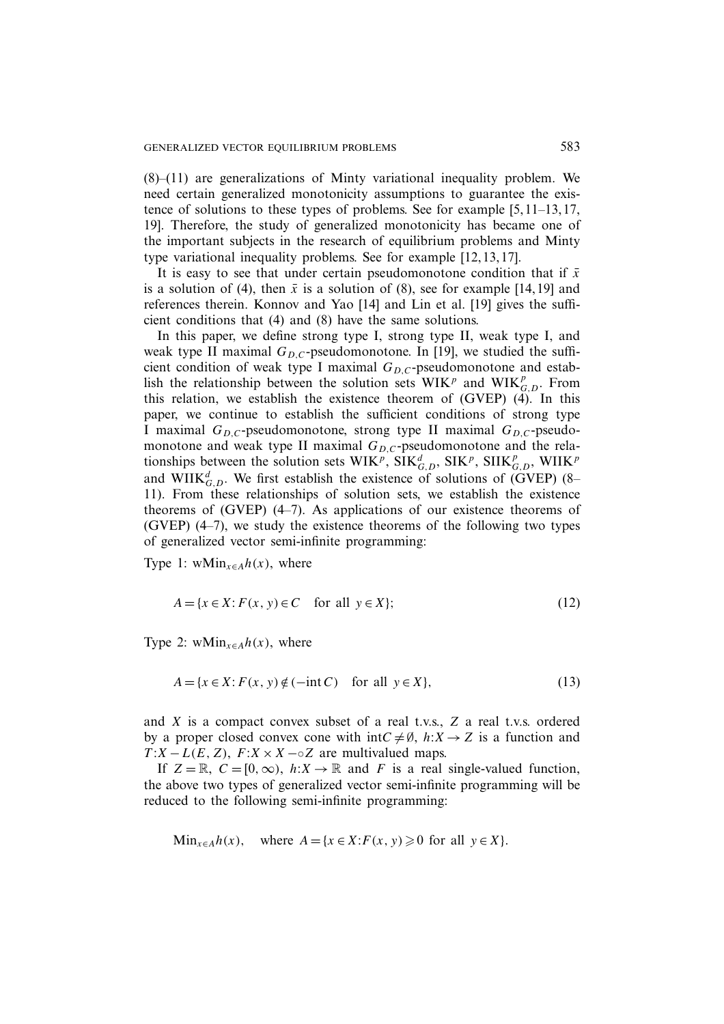(8)–(11) are generalizations of Minty variational inequality problem. We need certain generalized monotonicity assumptions to guarantee the existence of solutions to these types of problems. See for example [5, 11–13, 17, 19]. Therefore, the study of generalized monotonicity has became one of the important subjects in the research of equilibrium problems and Minty type variational inequality problems. See for example [12, 13, 17].

It is easy to see that under certain pseudomonotone condition that if  $\bar{x}$ is a solution of (4), then  $\bar{x}$  is a solution of (8), see for example [14, 19] and references therein. Konnov and Yao [14] and Lin et al. [19] gives the sufficient conditions that (4) and (8) have the same solutions.

In this paper, we define strong type I, strong type II, weak type I, and weak type II maximal  $G_{D,C}$ -pseudomonotone. In [19], we studied the sufficient condition of weak type I maximal  $G_{D,C}$ -pseudomonotone and establish the relationship between the solution sets  $WIK^p$  and  $WIK^p_{G,D}$ . From this relation, we establish the existence theorem of (GVEP) (4). In this paper, we continue to establish the sufficient conditions of strong type I maximal  $G_{D,C}$ -pseudomonotone, strong type II maximal  $G_{D,C}$ -pseudomonotone and weak type II maximal  $G_{D,C}$ -pseudomonotone and the relationships between the solution sets  $WIK^p$ ,  $\dot{SIK}^d_{G,D}$ ,  $\dot{SIK}^p$ ,  $\dot{SIK}^p_{G,D}$ ,  $WIIK^p$ and WIIK $_{G,D}^d$ . We first establish the existence of solutions of (GVEP) (8– 11). From these relationships of solution sets, we establish the existence theorems of (GVEP) (4–7). As applications of our existence theorems of (GVEP) (4–7), we study the existence theorems of the following two types of generalized vector semi-infinite programming:

Type 1: wMin<sub> $x \in A$ </sub> $h(x)$ , where

$$
A = \{x \in X : F(x, y) \in C \quad \text{for all } y \in X\};\tag{12}
$$

Type 2: wMin<sub> $x \in A$ </sub> $h(x)$ , where

$$
A = \{x \in X : F(x, y) \notin (-\text{int } C) \quad \text{for all } y \in X\},\tag{13}
$$

and X is a compact convex subset of a real t.v.s., Z a real t.v.s. ordered by a proper closed convex cone with intC  $\neq \emptyset$ ,  $h: X \rightarrow Z$  is a function and  $T: X - L(E, Z), F: X \times X - \circ Z$  are multivalued maps.

If  $Z = \mathbb{R}$ ,  $C = [0, \infty)$ ,  $h: X \to \mathbb{R}$  and F is a real single-valued function, the above two types of generalized vector semi-infinite programming will be reduced to the following semi-infinite programming:

Min<sub>$$
x \in A
$$</sub>h(x), where  $A = \{x \in X : F(x, y) \ge 0 \text{ for all } y \in X\}.$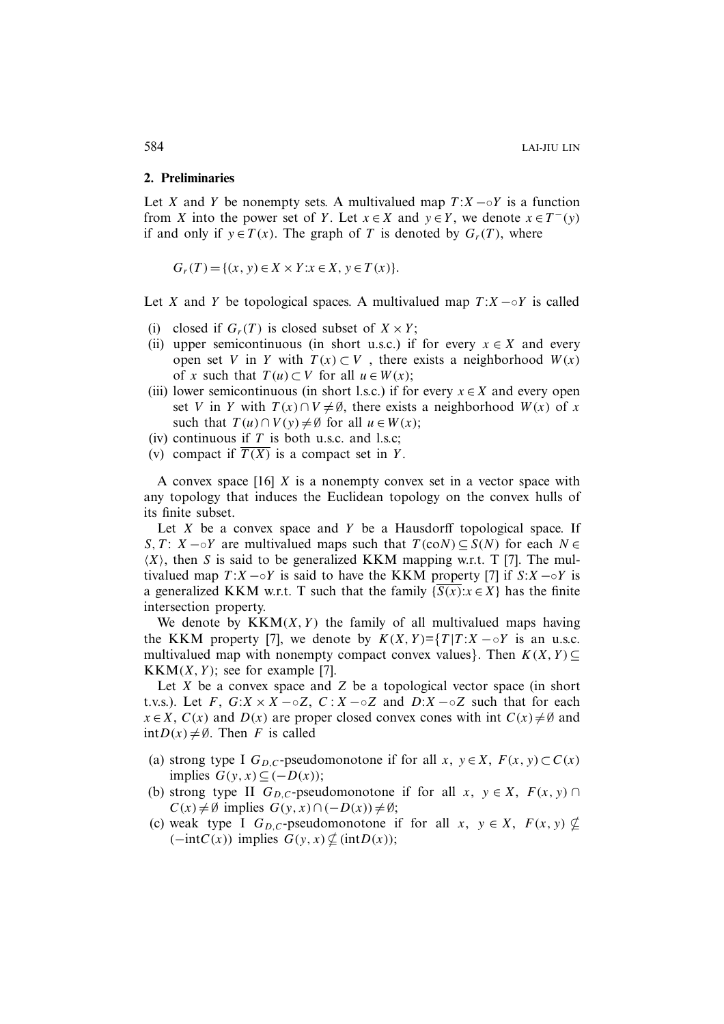#### **2. Preliminaries**

Let X and Y be nonempty sets. A multivalued map  $T: X \sim Y$  is a function from X into the power set of Y. Let  $x \in X$  and  $y \in Y$ , we denote  $x \in T^-(y)$ if and only if  $y \in T(x)$ . The graph of T is denoted by  $G_r(T)$ , where

 $G_r(T) = \{(x, y) \in X \times Y : x \in X, y \in T(x)\}.$ 

Let X and Y be topological spaces. A multivalued map  $T : X \sim Y$  is called

- (i) closed if  $G_r(T)$  is closed subset of  $X \times Y$ ;
- (ii) upper semicontinuous (in short u.s.c.) if for every  $x \in X$  and every open set V in Y with  $T(x) \subset V$ , there exists a neighborhood  $W(x)$ of x such that  $T(u) \subset V$  for all  $u \in W(x)$ ;
- (iii) lower semicontinuous (in short l.s.c.) if for every  $x \in X$  and every open set V in Y with  $T(x) \cap V \neq \emptyset$ , there exists a neighborhood  $W(x)$  of x such that  $T(u) \cap V(y) \neq \emptyset$  for all  $u \in W(x)$ ;
- (iv) continuous if  $T$  is both u.s.c. and l.s.c;
- (v) compact if  $\overline{T(X)}$  is a compact set in Y.

A convex space  $[16]$  X is a nonempty convex set in a vector space with any topology that induces the Euclidean topology on the convex hulls of its finite subset.

Let  $X$  be a convex space and  $Y$  be a Hausdorff topological space. If S, T: X –◦Y are multivalued maps such that  $T$ (coN)  $\subseteq$  S(N) for each  $N \in$  $\langle X \rangle$ , then S is said to be generalized KKM mapping w.r.t. T [7]. The multivalued map  $T : X − ∘Y$  is said to have the KKM property [7] if  $S : X − ∘Y$  is a generalized KKM w.r.t. T such that the family  $\{\overline{S(x)}: x \in X\}$  has the finite intersection property.

We denote by  $KKM(X, Y)$  the family of all multivalued maps having the KKM property [7], we denote by  $K(X, Y) = \{T | T : X - \circ Y \text{ is an u.s.c.}\}$ multivalued map with nonempty compact convex values}. Then  $K(X, Y) \subseteq$  $KKM(X, Y)$ ; see for example [7].

Let  $X$  be a convex space and  $Z$  be a topological vector space (in short t.v.s.). Let F,  $G: X \times X - \circ Z$ ,  $C: X - \circ Z$  and  $D: X - \circ Z$  such that for each  $x \in X$ ,  $C(x)$  and  $D(x)$  are proper closed convex cones with int  $C(x) \neq \emptyset$  and  $intD(x) \neq \emptyset$ . Then F is called

- (a) strong type I  $G_{D,C}$ -pseudomonotone if for all x,  $y \in X$ ,  $F(x, y) \subset C(x)$ implies  $G(y, x) \subseteq (-D(x));$
- (b) strong type II  $G_{D,C}$ -pseudomonotone if for all  $x, y \in X$ ,  $F(x, y) \cap$  $C(x) \neq \emptyset$  implies  $G(y, x) \cap (-D(x)) \neq \emptyset$ ;
- (c) weak type I  $G_{D,C}$ -pseudomonotone if for all  $x, y \in X$ ,  $F(x, y) \nsubseteq$  $(-intC(x))$  implies  $G(y, x) \nsubseteq (intD(x));$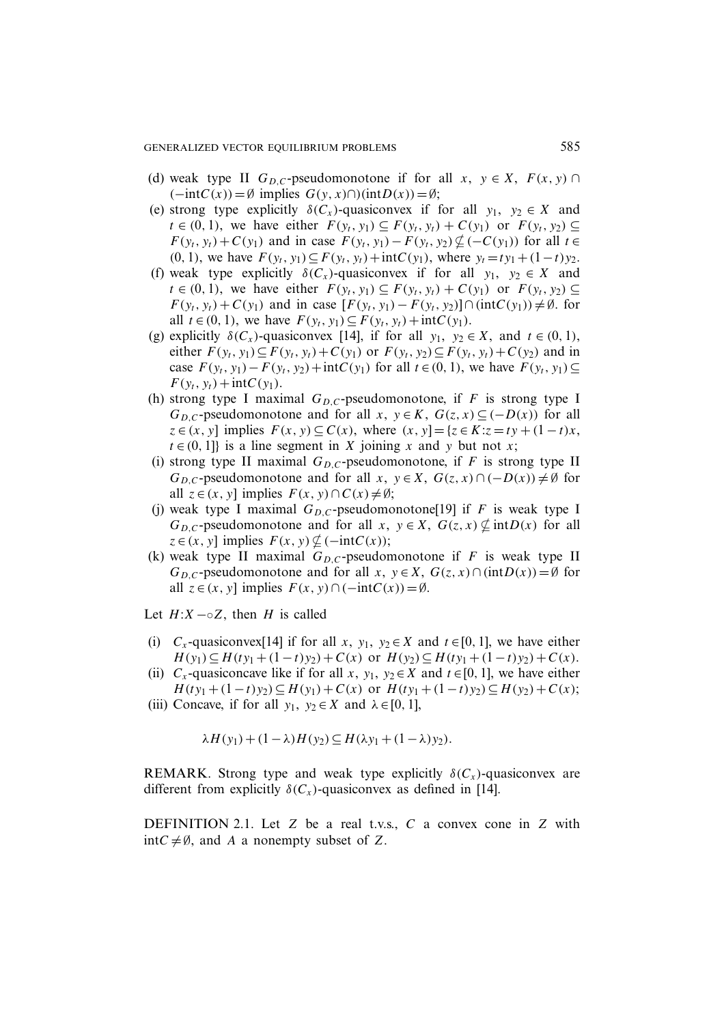- (d) weak type II  $G_{D,C}$ -pseudomonotone if for all  $x, y \in X$ ,  $F(x, y) \cap$  $(-intC(x)) = \emptyset$  implies  $G(y, x) \cap (intD(x)) = \emptyset$ ;
- (e) strong type explicitly  $\delta(C_x)$ -quasiconvex if for all  $y_1, y_2 \in X$  and  $t \in (0, 1)$ , we have either  $F(y_t, y_1) \subseteq F(y_t, y_t) + C(y_1)$  or  $F(y_t, y_2) \subseteq$  $F(y_t, y_t) + C(y_1)$  and in case  $F(y_t, y_1) - F(y_t, y_2) \nsubseteq (-C(y_1))$  for all  $t \in$ (0, 1), we have  $F(y_t, y_1) \subseteq F(y_t, y_t) + \text{int}C(y_1)$ , where  $y_t = ty_1 + (1-t)y_2$ .
- (f) weak type explicitly  $\delta(C_x)$ -quasiconvex if for all  $y_1, y_2 \in X$  and  $t \in (0, 1)$ , we have either  $F(y_t, y_1) \subseteq F(y_t, y_t) + C(y_1)$  or  $F(y_t, y_2) \subseteq$  $F(y_t, y_t) + C(y_1)$  and in case  $[F(y_t, y_1) - F(y_t, y_2)] \cap (intC(y_1)) \neq \emptyset$ . for all  $t \in (0, 1)$ , we have  $F(y_t, y_1) \subseteq F(y_t, y_t) + \text{int}C(y_1)$ .
- (g) explicitly  $\delta(C_x)$ -quasiconvex [14], if for all  $y_1, y_2 \in X$ , and  $t \in (0, 1)$ , either  $F(y_t, y_1) \subseteq F(y_t, y_t) + C(y_1)$  or  $F(y_t, y_2) \subseteq F(y_t, y_t) + C(y_2)$  and in case  $F(y_t, y_1) - F(y_t, y_2) + \text{int}C(y_1)$  for all  $t \in (0, 1)$ , we have  $F(y_t, y_1)$ ⊆  $F(y_t, y_t) + \text{int}C(y_1).$
- (h) strong type I maximal  $G_{D,C}$ -pseudomonotone, if F is strong type I  $G_{D,C}$ -pseudomonotone and for all  $x, y \in K$ ,  $G(z, x) \subseteq (-D(x))$  for all  $z \in (x, y]$  implies  $F(x, y) \subseteq C(x)$ , where  $(x, y) = \{z \in K : z = ty + (1 - t)x$ ,  $t \in (0, 1]$  is a line segment in X joining x and y but not x;
- (i) strong type II maximal  $G_{D,C}$ -pseudomonotone, if F is strong type II  $G_{D,C}$ -pseudomonotone and for all  $x, y \in X$ ,  $G(z, x) \cap (-D(x)) \neq \emptyset$  for all  $z \in (x, y]$  implies  $F(x, y) \cap C(x) \neq \emptyset$ ;
- (j) weak type I maximal  $G_{D,C}$ -pseudomonotone[19] if F is weak type I  $G_{D,C}$ -pseudomonotone and for all  $x, y \in X$ ,  $G(z, x) \nsubseteq \text{int}D(x)$  for all  $z \in (x, y]$  implies  $F(x, y) \nsubseteq (-\text{int}C(x));$
- (k) weak type II maximal  $G_{D,C}$ -pseudomonotone if F is weak type II  $G_{D,C}$ -pseudomonotone and for all x,  $y \in X$ ,  $G(z, x) \cap (intD(x)) = \emptyset$  for all  $z \in (x, y]$  implies  $F(x, y) \cap (-\text{int}C(x)) = \emptyset$ .

Let  $H: X \sim \circ Z$ , then H is called

- (i)  $C_x$ -quasiconvex[14] if for all x, y<sub>1</sub>, y<sub>2</sub>  $\in$  X and  $t \in [0, 1]$ , we have either  $H(y_1) \subseteq H(ty_1 + (1-t)y_2) + C(x)$  or  $H(y_2) \subseteq H(ty_1 + (1-t)y_2) + C(x)$ .
- (ii)  $C_x$ -quasiconcave like if for all x, y<sub>1</sub>, y<sub>2</sub> ∈ X and  $t \in [0, 1]$ , we have either  $H(ty_1 + (1-t)y_2) \subseteq H(y_1) + C(x)$  or  $H(ty_1 + (1-t)y_2) \subseteq H(y_2) + C(x);$
- (iii) Concave, if for all  $y_1, y_2 \in X$  and  $\lambda \in [0, 1]$ ,

$$
\lambda H(y_1) + (1 - \lambda)H(y_2) \subseteq H(\lambda y_1 + (1 - \lambda)y_2).
$$

REMARK. Strong type and weak type explicitly  $\delta(C_{x})$ -quasiconvex are different from explicitly  $\delta(C_x)$ -quasiconvex as defined in [14].

DEFINITION 2.1. Let  $Z$  be a real t.v.s.,  $C$  a convex cone in  $Z$  with  $intC \neq \emptyset$ , and A a nonempty subset of Z.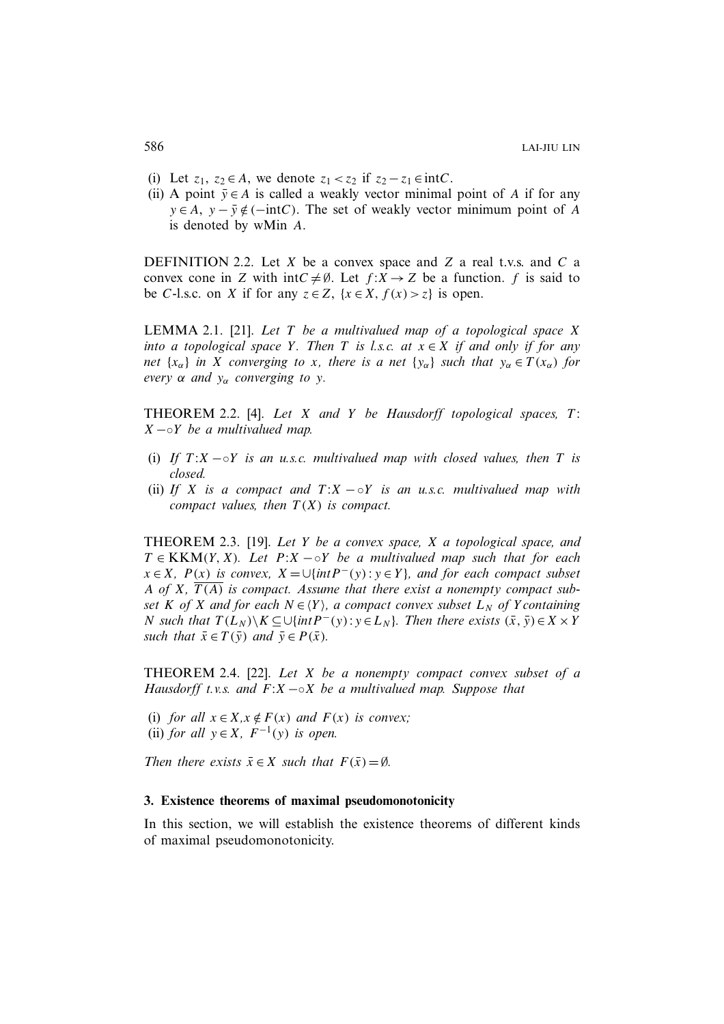- (i) Let  $z_1, z_2 \in A$ , we denote  $z_1 < z_2$  if  $z_2 z_1 \in \text{int}C$ .
- (ii) A point  $\bar{y} \in A$  is called a weakly vector minimal point of A if for any  $y \in A$ ,  $y - \overline{y} \notin (-\text{int}C)$ . The set of weakly vector minimum point of A is denoted by wMin A.

DEFINITION 2.2. Let  $X$  be a convex space and  $Z$  a real t.v.s. and  $C$  a convex cone in Z with intC  $\neq \emptyset$ . Let  $f: X \to Z$  be a function. f is said to be C-l.s.c. on X if for any  $z \in Z$ ,  $\{x \in X, f(x) > z\}$  is open.

LEMMA 2.1. [21]. *Let* T *be a multivalued map of a topological space* X *into a topological space* Y. Then T *is l.s.c. at*  $x \in X$  *if and only if for any net*  $\{x_\alpha\}$  *in* X *converging to* x, there is a net  $\{y_\alpha\}$  *such that*  $y_\alpha \in T(x_\alpha)$  *for every*  $\alpha$  *and*  $y_{\alpha}$  *converging to y*.

THEOREM 2.2. [4]. *Let* X *and* Y *be Hausdorff topological spaces,* T : X −◦Y *be a multivalued map.*

- (i) *If*  $T: X \to Y$  *is an u.s.c. multivalued map with closed values, then* T *is closed.*
- (ii) *If* X *is a compact and*  $T: X \sim Y$  *is an u.s.c. multivalued map with compact values, then*  $T(X)$  *is compact.*

THEOREM 2.3. [19]. *Let* Y *be a convex space,* X *a topological space, and*  $T \in KKM(Y, X)$ *. Let*  $P:X \sim Y$  *be a multivalued map such that for each*  $x \in X$ *,*  $P(x)$  *is convex,*  $X = \bigcup \{ int P^-(y) : y \in Y \}$ *, and for each compact subset* A of X,  $\overline{T(A)}$  is compact. Assume that there exist a nonempty compact sub*set* K *of* X *and for each*  $N \in \{Y\}$ *, a compact convex subset*  $L_N$  *of* Y *containing N* such that  $T(L_N) \ X \subseteq \bigcup \{ int P^-(y) : y \in L_N \}$ *. Then there exists*  $(\bar{x}, \bar{y}) \in X \times Y$ *such that*  $\bar{x} \in T(\bar{y})$  *and*  $\bar{y} \in P(\bar{x})$ *.* 

THEOREM 2.4. [22]. *Let* X *be a nonempty compact convex subset of a Hausdorff t.v.s. and* F:X −◦X *be a multivalued map. Suppose that*

(i) *for all*  $x \in X, x \notin F(x)$  *and*  $F(x)$  *is convex;* (ii) *for all*  $y \in X$ ,  $F^{-1}(y)$  *is open.* 

*Then there exists*  $\bar{x} \in X$  *such that*  $F(\bar{x}) = \emptyset$ *.* 

#### **3. Existence theorems of maximal pseudomonotonicity**

In this section, we will establish the existence theorems of different kinds of maximal pseudomonotonicity.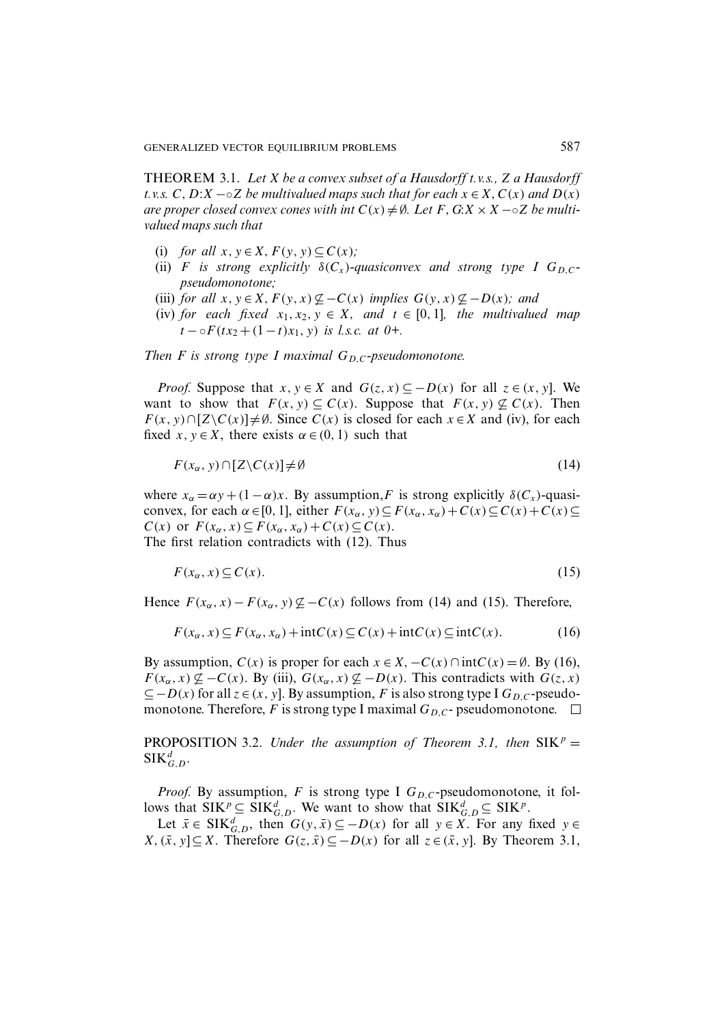THEOREM 3.1. *Let* X *be a convex subset of a Hausdorff t.v.s.,* Z *a Hausdorff t.v.s.*  $C, D:X \sim 2$  *be multivalued maps such that for each*  $x \in X, C(x)$  *and*  $D(x)$ *are proper closed convex cones with int*  $C(x) \neq \emptyset$ . Let F, G:X × X –◦Z *be multivalued maps such that*

- (i) *for all*  $x, y \in X, F(y, y) \subseteq C(x)$ ;
- (ii) F is strong explicitly  $\delta(C_x)$ -quasiconvex and strong type I  $G_{D,C}$ *pseudomonotone;*
- (iii) *for all*  $x, y \in X, F(y, x) \nsubseteq C(x)$  *implies*  $G(y, x) \nsubseteq -D(x)$ *; and*
- (iv) *for each fixed*  $x_1, x_2, y \in X$ *, and*  $t \in [0, 1]$ *, the multivalued map*  $t - \circ F(tx_2 + (1-t)x_1, y)$  *is l.s.c. at 0+.*

### *Then F is strong type I maximal*  $G_{D,C}$ -pseudomonotone.

*Proof.* Suppose that  $x, y \in X$  and  $G(z, x) \subseteq -D(x)$  for all  $z \in (x, y]$ . We want to show that  $F(x, y) \subseteq C(x)$ . Suppose that  $F(x, y) \nsubseteq C(x)$ . Then  $F(x, y) \cap [Z\setminus C(x)] \neq \emptyset$ . Since  $C(x)$  is closed for each  $x \in X$  and (iv), for each fixed x,  $y \in X$ , there exists  $\alpha \in (0, 1)$  such that

$$
F(x_{\alpha}, y) \cap [Z \backslash C(x)] \neq \emptyset \tag{14}
$$

where  $x_{\alpha} = \alpha y + (1 - \alpha)x$ . By assumption, F is strong explicitly  $\delta(C_x)$ -quasiconvex, for each  $\alpha \in [0, 1]$ , either  $F(x_\alpha, y) \subseteq F(x_\alpha, x_\alpha) + C(x) \subseteq C(x) + C(x) \subseteq$  $C(x)$  or  $F(x_\alpha, x) \subseteq F(x_\alpha, x_\alpha) + C(x) \subseteq C(x)$ . The first relation contradicts with (12). Thus

$$
F(x_{\alpha}, x) \subseteq C(x). \tag{15}
$$

Hence  $F(x_\alpha, x) - F(x_\alpha, y) \not\subseteq -C(x)$  follows from (14) and (15). Therefore,

$$
F(x_{\alpha}, x) \subseteq F(x_{\alpha}, x_{\alpha}) + \text{int}C(x) \subseteq C(x) + \text{int}C(x) \subseteq \text{int}C(x). \tag{16}
$$

By assumption,  $C(x)$  is proper for each  $x \in X$ ,  $-C(x) \cap \text{int}C(x) = \emptyset$ . By (16),  $F(x_\alpha, x) \nsubseteq -C(x)$ . By (iii),  $G(x_\alpha, x) \nsubseteq -D(x)$ . This contradicts with  $G(z, x)$  $\subseteq$  –  $D(x)$  for all  $z \in (x, y]$ . By assumption, F is also strong type I  $G_{D,C}$ -pseudomonotone. Therefore, F is strong type I maximal  $G_{D,C}$ - pseudomonotone.  $\Box$ 

**PROPOSITION** 3.2. *Under the assumption of Theorem 3.1, then*  $SIK^p =$  $\mathop{\rm SIK}\nolimits_{G,D}^d.$ 

*Proof.* By assumption, F is strong type I  $G_{D,C}$ -pseudomonotone, it follows that  $SIK^p \subseteq SIK_{G,D}^d$ . We want to show that  $SIK_{G,D}^d \subseteq SIK^p$ .

Let  $\bar{x} \in \text{SIK}_{G,D}^d$ , then  $G(y, \bar{x}) \subseteq -D(x)$  for all  $y \in \bar{X}$ . For any fixed  $y \in$ *X*,  $(\bar{x}, y]$ ⊆*X*. Therefore  $G(z, \bar{x}) ⊆ -D(x)$  for all  $z ∈ (\bar{x}, y]$ . By Theorem 3.1,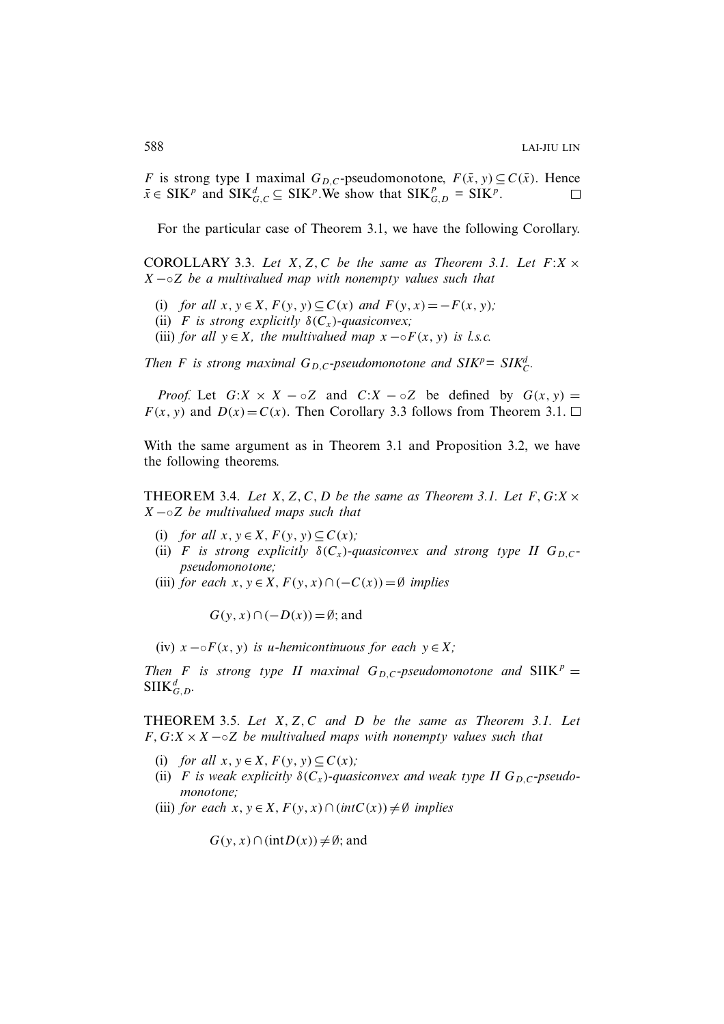F is strong type I maximal  $G_{D,C}$ -pseudomonotone,  $F(\bar{x}, y) \subseteq C(\bar{x})$ . Hence  $\bar{x} \in \text{SIK}^p$  and  $\text{SIK}_{G,C}^d \subseteq \text{SIK}^p$ . We show that  $\text{SIK}_{G,D}^p = \text{SIK}^p$ .  $\Box$ 

For the particular case of Theorem 3.1, we have the following Corollary.

COROLLARY 3.3. Let  $X, Z, C$  be the same as Theorem 3.1. Let  $F: X \times C$ X −◦Z *be a multivalued map with nonempty values such that*

- (i) *for all*  $x, y \in X, F(y, y) \subseteq C(x)$  *and*  $F(y, x) = -F(x, y)$ ;
- (ii) F is strong explicitly  $\delta(C_x)$ -quasiconvex;
- (iii) *for all*  $y \in X$ *, the multivalued map*  $x \neg \circ F(x, y)$  *is l.s.c.*

*Then F* is strong maximal  $G_{D,C}$ -pseudomonotone and  $SIK^p = SIK_C^d$ .

*Proof.* Let  $G: X \times X - \circ Z$  and  $C: X - \circ Z$  be defined by  $G(x, y) =$  $F(x, y)$  and  $D(x) = C(x)$ . Then Corollary 3.3 follows from Theorem 3.1.  $\Box$ 

With the same argument as in Theorem 3.1 and Proposition 3.2, we have the following theorems.

THEOREM 3.4. Let  $X, Z, C, D$  be the same as Theorem 3.1. Let  $F, G:X \times$ X −◦Z *be multivalued maps such that*

- (i) *for all*  $x, y \in X, F(y, y) \subset C(x)$ ;
- (ii) F is strong explicitly  $\delta(C_x)$ -quasiconvex and strong type II  $G_{D,C}$ *pseudomonotone;*
- (iii) *for each*  $x, y \in X, F(y, x) \cap (-C(x)) = \emptyset$  *implies*

 $G(y, x) \cap (-D(x)) = \emptyset$ ; and

(iv)  $x \neg \circ F(x, y)$  *is u-hemicontinuous for each*  $y \in X$ ;

*Then F is strong type II maximal*  $G_{D,C}$ *-pseudomonotone and*  $SIIK^p =$  $\text{SIIK}_{G,D}^d$ .

THEOREM 3.5. *Let* X, Z, C *and* D *be the same as Theorem 3.1. Let* F,G:X ×X −◦Z *be multivalued maps with nonempty values such that*

- (i) *for all*  $x, y \in X, F(y, y) \subseteq C(x)$ ;
- (ii) F is weak explicitly  $\delta(C_x)$ -quasiconvex and weak type II  $G_{D,C}$ -pseudo*monotone;*
- (iii) *for each*  $x, y \in X, F(y, x) \cap (intC(x)) \neq \emptyset$  *implies*

 $G(y, x) \cap (intD(x)) \neq \emptyset$ ; and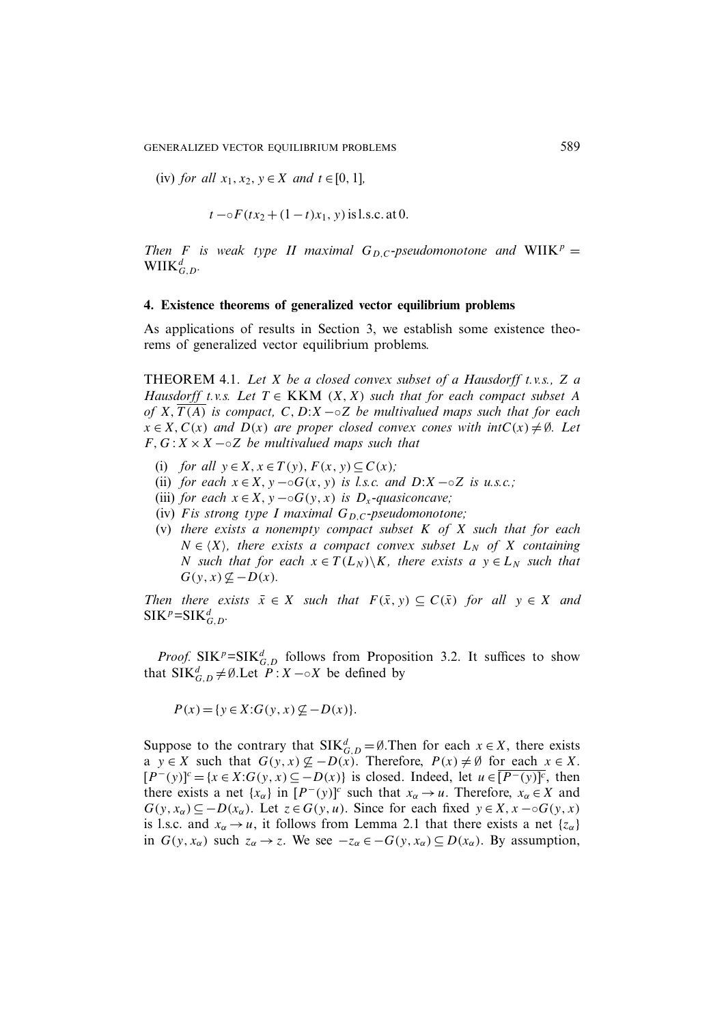(iv) *for all*  $x_1, x_2, y \in X$  *and*  $t \in [0, 1]$ *,* 

$$
t - \circ F(tx_2 + (1-t)x_1, y)
$$
 is l.s.c. at 0.

*Then F is weak type II maximal*  $G_D$ <sub>*C</sub>-pseudomonotone and* WIIK<sup>p</sup> =</sub>  $\text{WIK}_{G,D}^d$ .

#### **4. Existence theorems of generalized vector equilibrium problems**

As applications of results in Section 3, we establish some existence theorems of generalized vector equilibrium problems.

THEOREM 4.1. *Let* X *be a closed convex subset of a Hausdorff t.v.s.,* Z *a Hausdorff t.v.s. Let*  $T \in KKM$   $(X, X)$  *such that for each compact subset* A *of* X,  $\overline{T(A)}$  *is compact,* C, D:X −◦Z *be multivalued maps such that for each*  $x \in X$ ,  $C(x)$  *and*  $D(x)$  *are proper closed convex cones with int* $C(x) \neq \emptyset$ *. Let*  $F, G: X \times X \sim Z$  *be multivalued maps such that* 

- (i) *for all*  $y \in X$ ,  $x \in T(y)$ ,  $F(x, y) \subseteq C(x)$ ;
- (ii) *for each*  $x \in X$ ,  $y \sim \circ G(x, y)$  *is l.s.c. and*  $D:X \sim \circ Z$  *is u.s.c.*;
- (iii) *for each*  $x \in X$ ,  $y \sim \circ G(y, x)$  *is*  $D_x$ -quasiconcave;
- (iv) Fis strong type I maximal  $G_{D,C}$ -pseudomonotone;
- (v) *there exists a nonempty compact subset* K *of* X *such that for each*  $N \in \langle X \rangle$ , there exists a compact convex subset  $L_N$  of X containing N such that for each  $x \in T(L_N) \backslash K$ , there exists a  $y \in L_N$  such that  $G(y, x) \nsubseteq -D(x)$ .

*Then there exists*  $\bar{x} \in X$  *such that*  $F(\bar{x}, y) \subseteq C(\bar{x})$  *for all*  $y \in X$  *and*  $\text{SIK}^p=\text{SIK}_{G,D}^d$ .

*Proof.* SIK<sup>p</sup>=SIK $_{G,D}^{d}$  follows from Proposition 3.2. It suffices to show that SIK ${}_{G,D}^d \neq \emptyset$ . Let  $P: X \sim X$  be defined by

 $P(x) = \{y \in X: G(y, x) \not\subseteq -D(x)\}.$ 

Suppose to the contrary that  $SIK_{G,D}^d = \emptyset$ . Then for each  $x \in X$ , there exists a  $y \in X$  such that  $G(y, x) \nsubseteq -D(x)$ . Therefore,  $P(x) \neq \emptyset$  for each  $x \in X$ .  $[P^-(y)]^c = {x \in X: G(y, x) \subseteq -D(x)}$  is closed. Indeed, let  $u \in \overline{[P^-(y)]^c}$ , then there exists a net  $\{x_\alpha\}$  in  $[P^-(y)]^c$  such that  $x_\alpha \to u$ . Therefore,  $x_\alpha \in X$  and  $G(y, x_\alpha) \subseteq -D(x_\alpha)$ . Let  $z \in G(y, u)$ . Since for each fixed  $y \in X, x \in G(y, x)$ is l.s.c. and  $x_\alpha \to u$ , it follows from Lemma 2.1 that there exists a net  $\{z_\alpha\}$ in  $G(y, x_\alpha)$  such  $z_\alpha \to z$ . We see  $-z_\alpha \in -G(y, x_\alpha) \subseteq D(x_\alpha)$ . By assumption,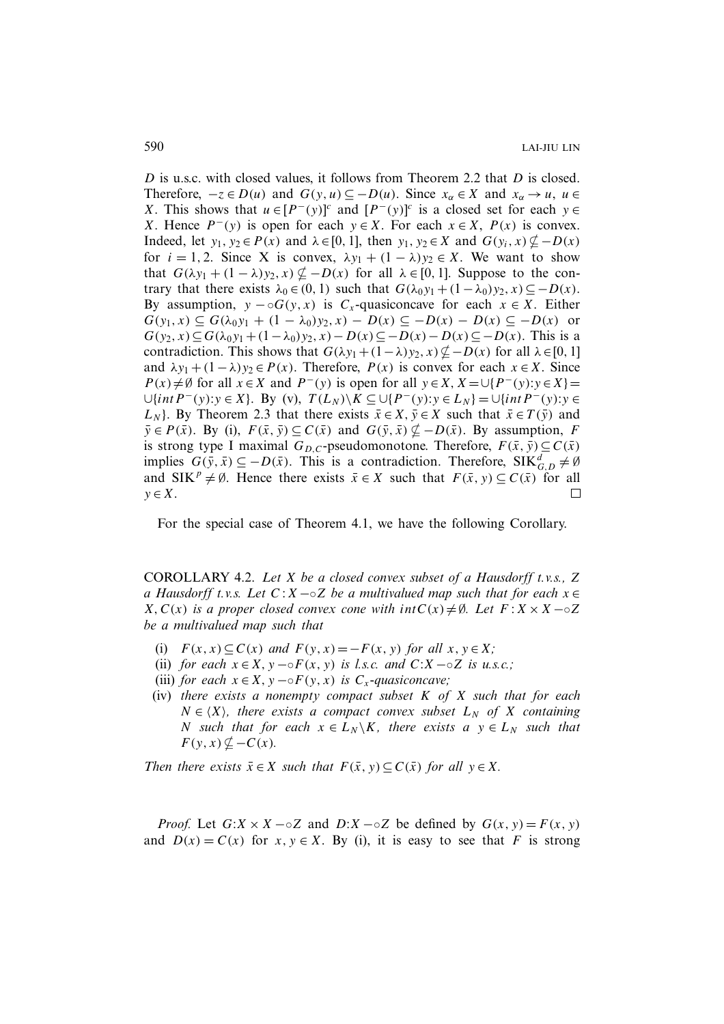D is u.s.c. with closed values, it follows from Theorem 2.2 that D is closed. Therefore,  $-z \in D(u)$  and  $G(y, u) \subseteq -D(u)$ . Since  $x_{\alpha} \in X$  and  $x_{\alpha} \to u$ ,  $u \in$ X. This shows that  $u \in [P^-(y)]^c$  and  $[P^-(y)]^c$  is a closed set for each  $y \in$ X. Hence  $P^-(y)$  is open for each  $y \in X$ . For each  $x \in X$ ,  $P(x)$  is convex. Indeed, let  $y_1, y_2 \in P(x)$  and  $\lambda \in [0, 1]$ , then  $y_1, y_2 \in X$  and  $G(y_i, x) \nsubseteq -D(x)$ for  $i = 1, 2$ . Since X is convex,  $\lambda y_1 + (1 - \lambda) y_2 \in X$ . We want to show that  $G(\lambda y_1 + (1 - \lambda)y_2, x) \not\subseteq -D(x)$  for all  $\lambda \in [0, 1]$ . Suppose to the contrary that there exists  $\lambda_0 \in (0, 1)$  such that  $G(\lambda_0 y_1 + (1 - \lambda_0) y_2, x) \subseteq -D(x)$ . By assumption,  $y - oG(y, x)$  is  $C_x$ -quasiconcave for each  $x \in X$ . Either  $G(y_1, x) \subseteq G(\lambda_0 y_1 + (1 - \lambda_0) y_2, x) - D(x) \subseteq -D(x) - D(x) \subseteq -D(x)$  or  $G(y_2, x) \subseteq G(\lambda_0 y_1 + (1 - \lambda_0) y_2, x) - D(x) \subseteq -D(x) - D(x) \subseteq -D(x)$ . This is a contradiction. This shows that  $G(\lambda y_1 + (1-\lambda)y_2, x) \not\subseteq -D(x)$  for all  $\lambda \in [0, 1]$ and  $\lambda y_1 + (1 - \lambda)y_2 \in P(x)$ . Therefore,  $P(x)$  is convex for each  $x \in X$ . Since  $P(x) \neq \emptyset$  for all  $x \in X$  and  $P^-(y)$  is open for all  $y \in X$ ,  $X = \bigcup \{P^-(y): y \in X\}$  $\bigcup \{int P^-(y): y \in X\}$ . By (v),  $T(L_N) \setminus K \subseteq \bigcup \{P^-(y): y \in L_N\} = \bigcup \{int P^-(y): y \in L_N\}$  $L_N$ . By Theorem 2.3 that there exists  $\bar{x} \in X$ ,  $\bar{y} \in X$  such that  $\bar{x} \in T(\bar{y})$  and  $\bar{y} \in P(\bar{x})$ . By (i),  $F(\bar{x}, \bar{y}) \subseteq C(\bar{x})$  and  $G(\bar{y}, \bar{x}) \nsubseteq -D(\bar{x})$ . By assumption, F is strong type I maximal  $G_{D,C}$ -pseudomonotone. Therefore,  $F(\bar{x}, \bar{y}) \subseteq C(\bar{x})$ implies  $G(\bar{y}, \bar{x}) \subseteq -D(\bar{x})$ . This is a contradiction. Therefore, SIK ${}_{G,D}^d \neq \emptyset$ and SIK<sup>p</sup>  $\neq \emptyset$ . Hence there exists  $\bar{x} \in X$  such that  $F(\bar{x}, y) \subseteq C(\bar{x})$  for all  $y \in X$ .  $\Box$ 

For the special case of Theorem 4.1, we have the following Corollary.

COROLLARY 4.2. *Let* X *be a closed convex subset of a Hausdorff t.v.s.,* Z *a Hausdorff t.v.s. Let* C :X−◦Z *be a multivalued map such that for each* x ∈  $X, C(x)$  *is a proper closed convex cone with int* $C(x) \neq \emptyset$ *. Let*  $F: X \times X \sim \emptyset$ *be a multivalued map such that*

- (i)  $F(x, x) \subseteq C(x)$  *and*  $F(y, x) = -F(x, y)$  *for all*  $x, y \in X$ *;*
- (ii) *for each*  $x \in X$ ,  $y \sim \circ F(x, y)$  *is l.s.c. and*  $C: X \sim \circ Z$  *is u.s.c.*;
- (iii) *for each*  $x \in X$ ,  $y \neg \circ F(y, x)$  *is*  $C_x$ -quasiconcave;
- (iv) *there exists a nonempty compact subset* K *of* X *such that for each*  $N \in \langle X \rangle$ , there exists a compact convex subset  $L_N$  of X containing *N* such that for each  $x \in L_N \backslash K$ , there exists a  $y \in L_N$  such that  $F(y, x) \nsubseteq C(x)$ .

*Then there exists*  $\bar{x} \in X$  *such that*  $F(\bar{x}, y) \subseteq C(\bar{x})$  *for all*  $y \in X$ *.* 

*Proof.* Let  $G: X \times X - \circ Z$  and  $D: X - \circ Z$  be defined by  $G(x, y) = F(x, y)$ and  $D(x) = C(x)$  for  $x, y \in X$ . By (i), it is easy to see that F is strong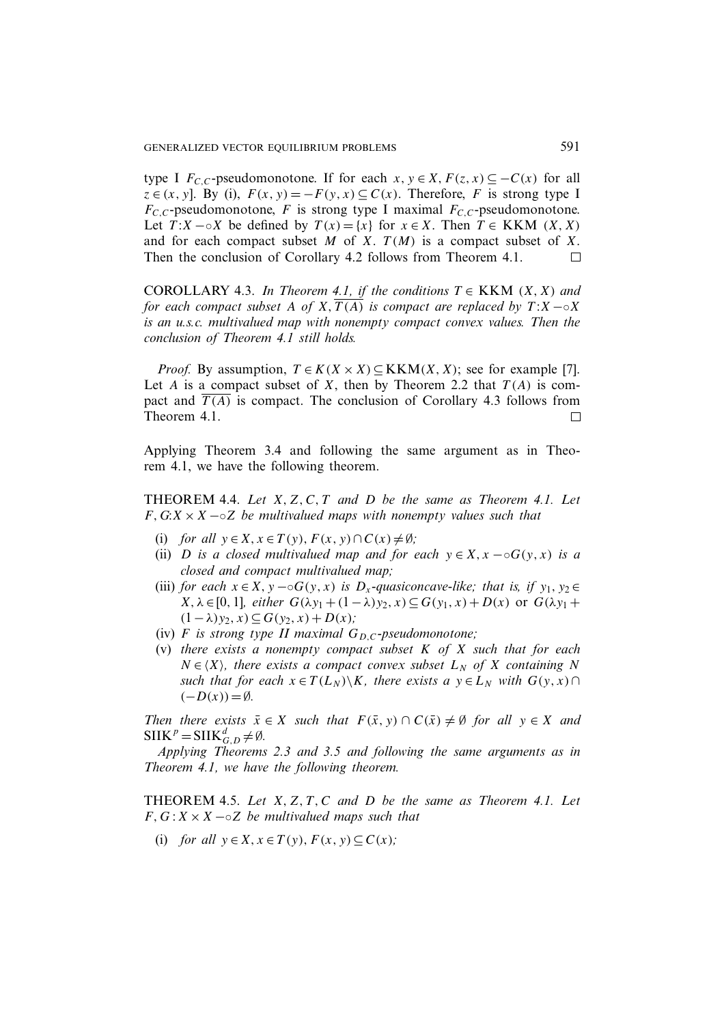type I  $F_{C,C}$ -pseudomonotone. If for each  $x, y \in X, F(z, x) \subseteq -C(x)$  for all  $z \in (x, y]$ . By (i),  $F(x, y) = -F(y, x) \subset C(x)$ . Therefore, F is strong type I  $F_{C,C}$ -pseudomonotone, F is strong type I maximal  $F_{C,C}$ -pseudomonotone. Let  $T: X \sim X$  be defined by  $T(x) = \{x\}$  for  $x \in X$ . Then  $T \in KKM$   $(X, X)$ and for each compact subset M of X.  $T(M)$  is a compact subset of X. Then the conclusion of Corollary 4.2 follows from Theorem 4.1.  $\Box$ 

COROLLARY 4.3. *In Theorem 4.1, if the conditions*  $T \in KKM$   $(X, X)$  and *for each compact subset* A *of* X,  $\overline{T(A)}$  *is compact are replaced by*  $T:X\rightarrow X$ *is an u.s.c. multivalued map with nonempty compact convex values. Then the conclusion of Theorem 4.1 still holds.*

*Proof.* By assumption,  $T \in K(X \times X) \subseteq KKM(X, X)$ ; see for example [7]. Let A is a compact subset of X, then by Theorem 2.2 that  $T(A)$  is compact and  $\overline{T(A)}$  is compact. The conclusion of Corollary 4.3 follows from Theorem 4.1.  $\Box$ 

Applying Theorem 3.4 and following the same argument as in Theorem 4.1, we have the following theorem.

THEOREM 4.4. *Let* X, Z, C, T *and* D *be the same as Theorem 4.1. Let* F,G:X ×X −◦Z *be multivalued maps with nonempty values such that*

- (i) *for all*  $y \in X$ ,  $x \in T(y)$ ,  $F(x, y) \cap C(x) \neq \emptyset$ ;
- (ii) *D is a closed multivalued map and for each*  $y \in X$ ,  $x \neg \circ G(y, x)$  *is a closed and compact multivalued map;*
- (iii) *for each*  $x \in X$ ,  $y \sim \circ G(y, x)$  *is*  $D_x$ -quasiconcave-like; that is, if  $y_1, y_2 \in$ X,  $\lambda$  ∈ [0, 1]*, either*  $G(\lambda y_1 + (1 - \lambda)y_2, x) \subseteq G(y_1, x) + D(x)$  or  $G(\lambda y_1 +$  $(1−λ)y_2, x) ⊆ G(y_2, x) + D(x);$
- (iv)  $F$  *is strong type II maximal*  $G_{D,C}$ -pseudomonotone;
- (v) *there exists a nonempty compact subset* K *of* X *such that for each*  $N \in \langle X \rangle$ , there exists a compact convex subset  $L_N$  of X containing N *such that for each*  $x \in T(L_N) \backslash K$ *, there exists a*  $y \in L_N$  *with*  $G(y, x) \cap$  $(-D(x)) = \emptyset$ .

*Then there exists*  $\bar{x} \in X$  *such that*  $F(\bar{x}, y) \cap C(\bar{x}) \neq \emptyset$  *for all*  $y \in X$  *and*  $SIIK^p = SIIK_{G,D}^d \neq \emptyset.$ 

*Applying Theorems 2.3 and 3.5 and following the same arguments as in Theorem 4.1, we have the following theorem.*

THEOREM 4.5. *Let* X, Z, T , C *and* D *be the same as Theorem 4.1. Let*  $F, G: X \times X \sim Z$  *be multivalued maps such that* 

(i) *for all*  $y \in X$ ,  $x \in T(y)$ ,  $F(x, y) \subseteq C(x)$ ;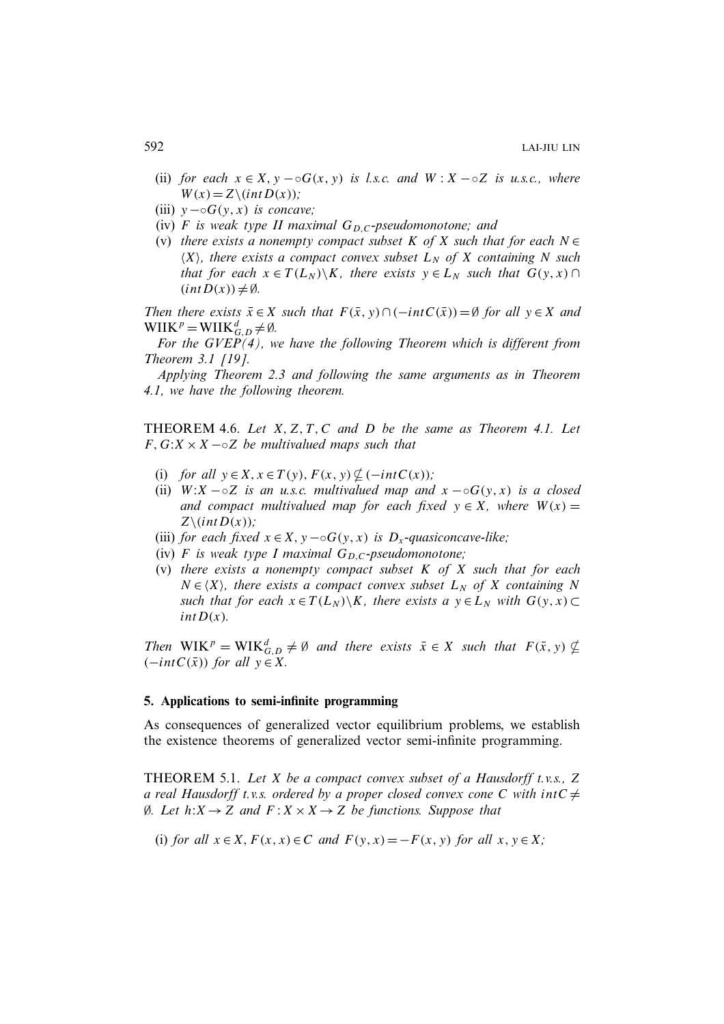- (ii) *for each*  $x \in X$ ,  $y \sim \circ G(x, y)$  *is l.s.c. and*  $W : X \sim \circ Z$  *is u.s.c., where*  $W(x)=Z\setminus(intD(x))$ ;
- (iii)  $y \neg oG(y, x)$  *is concave;*
- (iv)  $F$  *is weak type II maximal*  $G_{D,C}$ -pseudomonotone; and
- (v) *there exists a nonempty compact subset* K *of* X *such that for each* N ∈  $\langle X \rangle$ , there exists a compact convex subset  $L_N$  of X containing N such *that for each*  $x \in T(L_N) \backslash K$ *, there exists*  $y \in L_N$  *such that*  $G(y, x) \cap$  $(int D(x)) \neq \emptyset.$

*Then there exists*  $\bar{x} \in X$  *such that*  $F(\bar{x}, y) \cap (-\mathrm{int}C(\bar{x})) = \emptyset$  *for all*  $y \in X$  *and*  $WIIK^p = WIIK_{G,D}^d \neq \emptyset.$ 

*For the GVEP(4), we have the following Theorem which is different from Theorem 3.1 [19].*

*Applying Theorem 2.3 and following the same arguments as in Theorem 4.1, we have the following theorem.*

THEOREM 4.6. *Let* X, Z, T , C *and* D *be the same as Theorem 4.1. Let*  $F, G: X \times X \sim Z$  *be multivalued maps such that* 

- (i) *for all*  $y \in X$ ,  $x \in T(y)$ ,  $F(x, y) \nsubseteq (-intC(x))$ ;
- (ii)  $W: X \sim oZ$  *is an u.s.c. multivalued map and*  $x \sim oG(y, x)$  *is a closed and compact multivalued map for each fixed*  $y \in X$ *, where*  $W(x) =$  $Z\setminus(intD(x))$ ;
- (iii) *for each fixed*  $x \in X$ ,  $y \sim \circ G(y, x)$  *is*  $D_x$ -quasiconcave-like;
- (iv)  $F$  *is weak type I maximal*  $G_{D,C}$ -pseudomonotone;
- (v) *there exists a nonempty compact subset* K *of* X *such that for each*  $N \in \langle X \rangle$ , there exists a compact convex subset  $L_N$  of X containing N *such that for each*  $x \in T(L_N) \backslash K$ *, there exists a*  $y \in L_N$  *with*  $G(y, x) \subset$  $intD(x)$ .

*Then*  $WIK^p = WIK_{G,D}^d \neq \emptyset$  *and there exists*  $\bar{x} \in X$  *such that*  $F(\bar{x}, y) \nsubseteq$  $(-intC(\bar{x}))$  *for all*  $y \in X$ *.* 

#### **5. Applications to semi-infinite programming**

As consequences of generalized vector equilibrium problems, we establish the existence theorems of generalized vector semi-infinite programming.

THEOREM 5.1. *Let* X *be a compact convex subset of a Hausdorff t.v.s.,* Z *a real Hausdorff t.v.s. ordered by a proper closed convex cone* C *with*  $intC \neq$ ∅*. Let* h:X→Z *and* F :X ×X→Z *be functions. Suppose that*

(i) *for all*  $x \in X$ ,  $F(x, x) \in C$  *and*  $F(y, x) = -F(x, y)$  *for all*  $x, y \in X$ *;*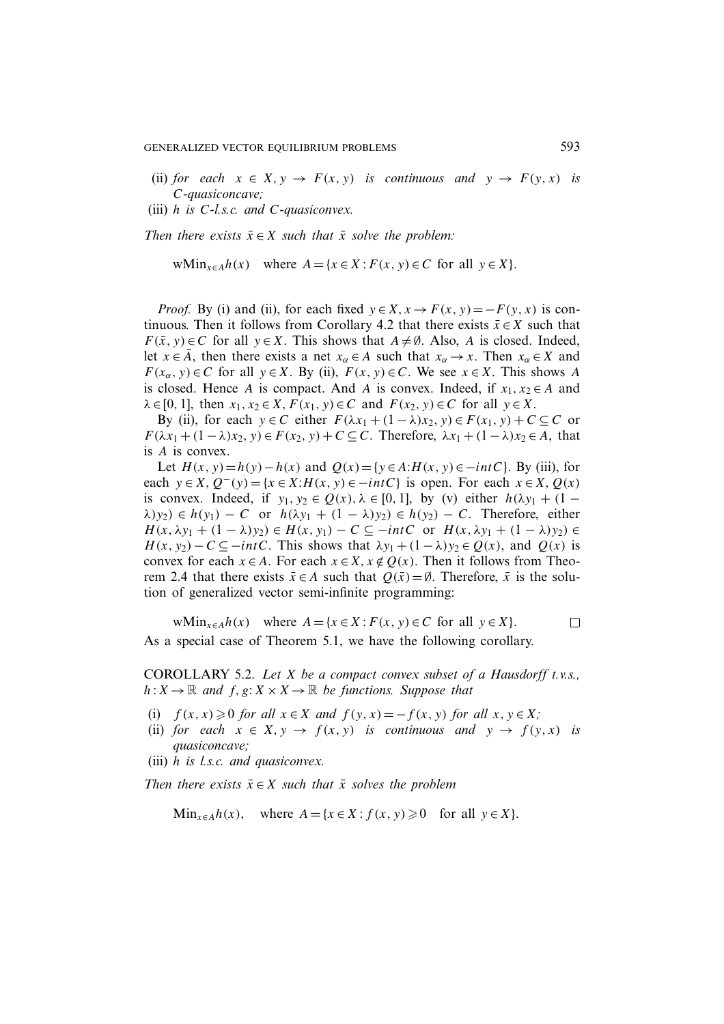- (ii) *for each*  $x \in X$ ,  $y \to F(x, y)$  *is continuous and*  $y \to F(y, x)$  *is* C*-quasiconcave;*
- (iii) h *is* C*-l.s.c. and* C*-quasiconvex.*

*Then there exists*  $\bar{x} \in X$  *such that*  $\bar{x}$  *solve the problem:* 

wMin<sub>x∈A</sub>h(x) where  $A = \{x \in X : F(x, y) \in C \text{ for all } y \in X\}.$ 

*Proof.* By (i) and (ii), for each fixed  $y \in X$ ,  $x \to F(x, y) = -F(y, x)$  is continuous. Then it follows from Corollary 4.2 that there exists  $\bar{x} \in X$  such that  $F(\bar{x}, y) \in C$  for all  $y \in X$ . This shows that  $A \neq \emptyset$ . Also, A is closed. Indeed, let  $x \in \overline{A}$ , then there exists a net  $x_{\alpha} \in A$  such that  $x_{\alpha} \to x$ . Then  $x_{\alpha} \in X$  and  $F(x_{\alpha}, y) \in C$  for all  $y \in X$ . By (ii),  $F(x, y) \in C$ . We see  $x \in X$ . This shows A is closed. Hence A is compact. And A is convex. Indeed, if  $x_1, x_2 \in A$  and  $\lambda \in [0, 1]$ , then  $x_1, x_2 \in X$ ,  $F(x_1, y) \in C$  and  $F(x_2, y) \in C$  for all  $y \in X$ .

By (ii), for each  $y \in C$  either  $F(\lambda x_1 + (1 - \lambda)x_2, y) \in F(x_1, y) + C \subseteq C$  or  $F(\lambda x_1 + (1-\lambda)x_2, y) \in F(x_2, y) + C \subseteq C$ . Therefore,  $\lambda x_1 + (1-\lambda)x_2 \in A$ , that is A is convex.

Let  $H(x, y) = h(y) - h(x)$  and  $Q(x) = {y \in A:H(x, y) \in -intC}$ . By (iii), for each  $y \in X$ ,  $Q^-(y) = \{x \in X : H(x, y) \in -intC\}$  is open. For each  $x \in X$ ,  $Q(x)$ is convex. Indeed, if  $y_1, y_2 \in Q(x), \lambda \in [0, 1]$ , by (v) either  $h(\lambda y_1 + (1 \lambda(y_2) \in h(y_1) - C$  or  $h(\lambda y_1 + (1 - \lambda)y_2) \in h(y_2) - C$ . Therefore, either  $H(x, \lambda y_1 + (1 - \lambda) y_2) \in H(x, y_1) - C \subseteq -\text{int }C \text{ or } H(x, \lambda y_1 + (1 - \lambda) y_2) \in$  $H(x, y_2) - C \subseteq -intC$ . This shows that  $\lambda y_1 + (1 - \lambda) y_2 \in Q(x)$ , and  $Q(x)$  is convex for each  $x \in A$ . For each  $x \in X$ ,  $x \notin Q(x)$ . Then it follows from Theorem 2.4 that there exists  $\bar{x} \in A$  such that  $Q(\bar{x}) = \emptyset$ . Therefore,  $\bar{x}$  is the solution of generalized vector semi-infinite programming:

wMin<sub> $x \in A$ </sub>h(x) where  $A = \{x \in X : F(x, y) \in C \text{ for all } y \in X\}.$  $\Box$ As a special case of Theorem 5.1, we have the following corollary.

COROLLARY 5.2. *Let* X *be a compact convex subset of a Hausdorff t.v.s.,*  $h: X \to \mathbb{R}$  and  $f, g: X \times X \to \mathbb{R}$  be functions. Suppose that

- (i)  $f(x, x) \geq 0$  *for all*  $x \in X$  *and*  $f(y, x) = -f(x, y)$  *for all*  $x, y \in X$ *;*
- (ii) *for each*  $x \in X$ ,  $y \to f(x, y)$  *is continuous and*  $y \to f(y, x)$  *is quasiconcave;*
- (iii) h *is l.s.c. and quasiconvex.*

*Then there exists*  $\bar{x} \in X$  *such that*  $\bar{x}$  *solves the problem* 

Min<sub>x∈A</sub>h(x), where  $A = \{x \in X : f(x, y) \ge 0 \text{ for all } y \in X\}.$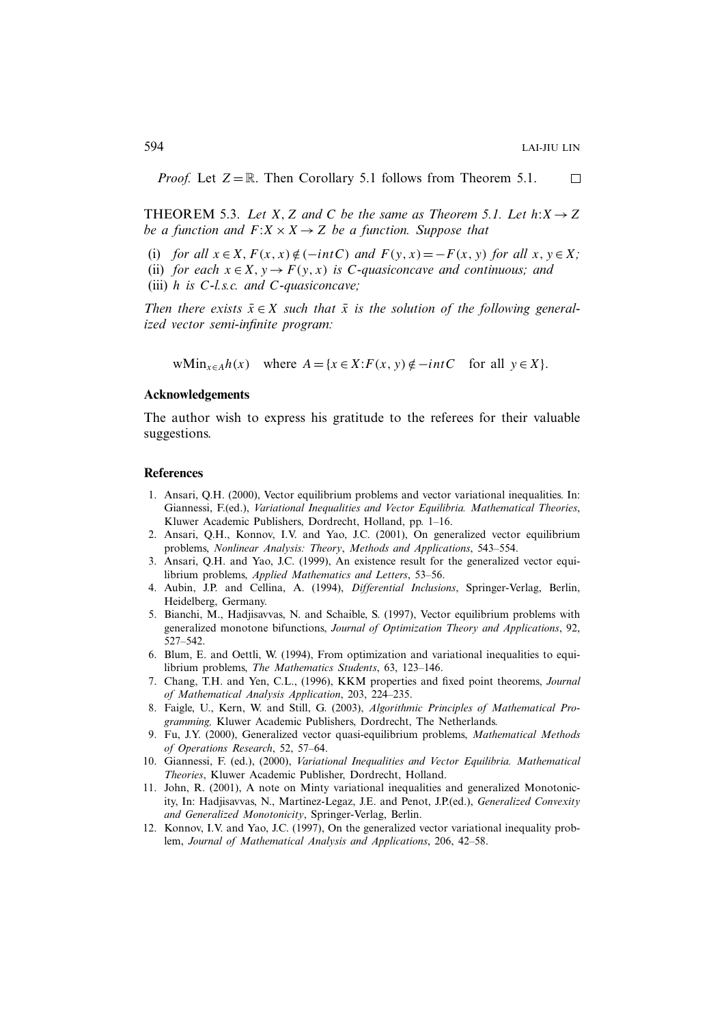*Proof.* Let  $Z = \mathbb{R}$ . Then Corollary 5.1 follows from Theorem 5.1.  $\Box$ 

**THEOREM 5.3.** *Let* X, Z and C be the same as Theorem 5.1. Let  $h: X \rightarrow Z$ *be a function and*  $F: X \times X \rightarrow Z$  *be a function. Suppose that* 

(i) *for all*  $x \in X$ ,  $F(x, x) \notin (-\text{int}C)$  *and*  $F(y, x) = -F(x, y)$  *for all*  $x, y \in X$ *;* (ii) *for each*  $x \in X$ ,  $y \to F(y, x)$  *is C-quasiconcave and continuous; and* (iii) h *is* C*-l.s.c. and* C*-quasiconcave;*

*Then there exists*  $\bar{x} \in X$  *such that*  $\bar{x}$  *is the solution of the following generalized vector semi-infinite program:*

wMin<sub>x∈A</sub>h(x) where  $A = \{x \in X : F(x, y) \notin -int C$  for all  $y \in X\}$ .

#### **Acknowledgements**

The author wish to express his gratitude to the referees for their valuable suggestions.

#### **References**

- 1. Ansari, Q.H. (2000), Vector equilibrium problems and vector variational inequalities. In: Giannessi, F.(ed.), *Variational Inequalities and Vector Equilibria. Mathematical Theories*, Kluwer Academic Publishers, Dordrecht, Holland, pp. 1–16.
- 2. Ansari, Q.H., Konnov, I.V. and Yao, J.C. (2001), On generalized vector equilibrium problems, *Nonlinear Analysis: Theory*, *Methods and Applications*, 543–554.
- 3. Ansari, Q.H. and Yao, J.C. (1999), An existence result for the generalized vector equilibrium problems, *Applied Mathematics and Letters*, 53–56.
- 4. Aubin, J.P. and Cellina, A. (1994), *Differential Inclusions*, Springer-Verlag, Berlin, Heidelberg, Germany.
- 5. Bianchi, M., Hadjisavvas, N. and Schaible, S. (1997), Vector equilibrium problems with generalized monotone bifunctions, *Journal of Optimization Theory and Applications*, 92, 527–542.
- 6. Blum, E. and Oettli, W. (1994), From optimization and variational inequalities to equilibrium problems, *The Mathematics Students*, 63, 123–146.
- 7. Chang, T.H. and Yen, C.L., (1996), KKM properties and fixed point theorems, *Journal of Mathematical Analysis Application*, 203, 224–235.
- 8. Faigle, U., Kern, W. and Still, G. (2003), *Algorithmic Principles of Mathematical Programming,* Kluwer Academic Publishers, Dordrecht, The Netherlands.
- 9. Fu, J.Y. (2000), Generalized vector quasi-equilibrium problems, *Mathematical Methods of Operations Research*, 52, 57–64.
- 10. Giannessi, F. (ed.), (2000), *Variational Inequalities and Vector Equilibria. Mathematical Theories*, Kluwer Academic Publisher, Dordrecht, Holland.
- 11. John, R. (2001), A note on Minty variational inequalities and generalized Monotonicity, In: Hadjisavvas, N., Martinez-Legaz, J.E. and Penot, J.P.(ed.), *Generalized Convexity and Generalized Monotonicity*, Springer-Verlag, Berlin.
- 12. Konnov, I.V. and Yao, J.C. (1997), On the generalized vector variational inequality problem, *Journal of Mathematical Analysis and Applications*, 206, 42–58.